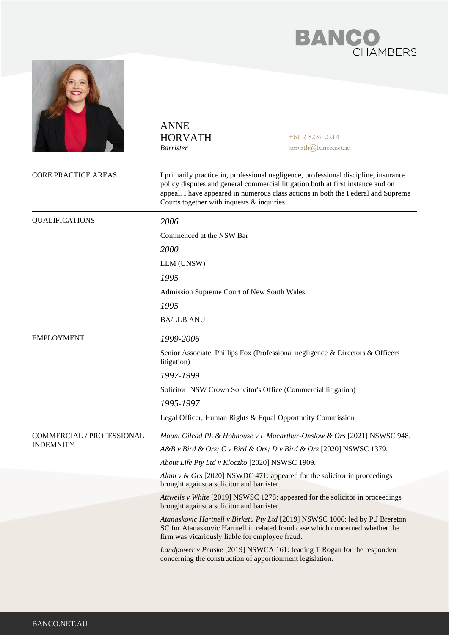



|                                               | <b>ANNE</b><br><b>HORVATH</b><br><b>Barrister</b>                                                                                                                                                                                                                                                            | $+61282390214$<br>$horvath(\omega)$ banco.net.au                                                                                                               |
|-----------------------------------------------|--------------------------------------------------------------------------------------------------------------------------------------------------------------------------------------------------------------------------------------------------------------------------------------------------------------|----------------------------------------------------------------------------------------------------------------------------------------------------------------|
| <b>CORE PRACTICE AREAS</b>                    | I primarily practice in, professional negligence, professional discipline, insurance<br>policy disputes and general commercial litigation both at first instance and on<br>appeal. I have appeared in numerous class actions in both the Federal and Supreme<br>Courts together with inquests $&$ inquiries. |                                                                                                                                                                |
| <b>QUALIFICATIONS</b>                         | 2006                                                                                                                                                                                                                                                                                                         |                                                                                                                                                                |
|                                               | Commenced at the NSW Bar                                                                                                                                                                                                                                                                                     |                                                                                                                                                                |
|                                               | 2000                                                                                                                                                                                                                                                                                                         |                                                                                                                                                                |
|                                               | LLM (UNSW)                                                                                                                                                                                                                                                                                                   |                                                                                                                                                                |
|                                               | 1995                                                                                                                                                                                                                                                                                                         |                                                                                                                                                                |
|                                               | Admission Supreme Court of New South Wales                                                                                                                                                                                                                                                                   |                                                                                                                                                                |
|                                               | 1995                                                                                                                                                                                                                                                                                                         |                                                                                                                                                                |
|                                               | <b>BA/LLB ANU</b>                                                                                                                                                                                                                                                                                            |                                                                                                                                                                |
| <b>EMPLOYMENT</b>                             | 1999-2006                                                                                                                                                                                                                                                                                                    |                                                                                                                                                                |
|                                               | litigation)                                                                                                                                                                                                                                                                                                  | Senior Associate, Phillips Fox (Professional negligence & Directors & Officers                                                                                 |
|                                               | 1997-1999                                                                                                                                                                                                                                                                                                    |                                                                                                                                                                |
|                                               |                                                                                                                                                                                                                                                                                                              | Solicitor, NSW Crown Solicitor's Office (Commercial litigation)                                                                                                |
|                                               | 1995-1997                                                                                                                                                                                                                                                                                                    |                                                                                                                                                                |
|                                               |                                                                                                                                                                                                                                                                                                              | Legal Officer, Human Rights & Equal Opportunity Commission                                                                                                     |
| COMMERCIAL / PROFESSIONAL<br><b>INDEMNITY</b> |                                                                                                                                                                                                                                                                                                              | Mount Gilead PL & Hobhouse v L Macarthur-Onslow & Ors [2021] NSWSC 948.                                                                                        |
|                                               |                                                                                                                                                                                                                                                                                                              | $A\&B$ v Bird & Ors; C v Bird & Ors; D v Bird & Ors [2020] NSWSC 1379.                                                                                         |
|                                               | About Life Pty Ltd v Kloczko [2020] NSWSC 1909.                                                                                                                                                                                                                                                              |                                                                                                                                                                |
|                                               | brought against a solicitor and barrister.                                                                                                                                                                                                                                                                   | Alam v & Ors [2020] NSWDC 471: appeared for the solicitor in proceedings                                                                                       |
|                                               | brought against a solicitor and barrister.                                                                                                                                                                                                                                                                   | Attwells v White [2019] NSWSC 1278: appeared for the solicitor in proceedings                                                                                  |
|                                               | firm was vicariously liable for employee fraud.                                                                                                                                                                                                                                                              | Atanaskovic Hartnell v Birketu Pty Ltd [2019] NSWSC 1006: led by P.J Brereton<br>SC for Atanaskovic Hartnell in related fraud case which concerned whether the |
|                                               | concerning the construction of apportionment legislation.                                                                                                                                                                                                                                                    | Landpower v Penske [2019] NSWCA 161: leading T Rogan for the respondent                                                                                        |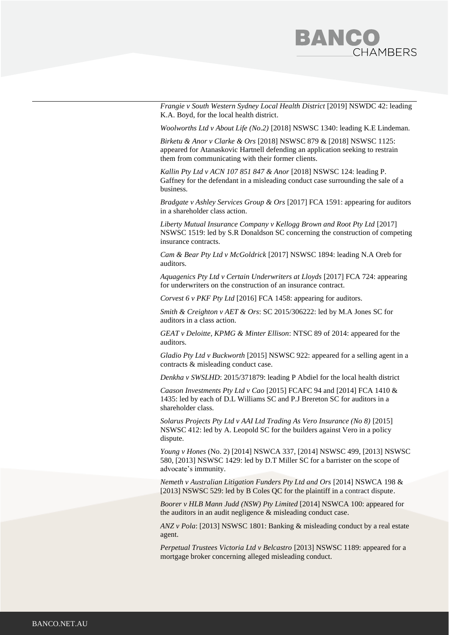

*Frangie v South Western Sydney Local Health District* [\[2019\] NSWDC 42:](https://www.caselaw.nsw.gov.au/decision/5c806e01e4b0196eea404f5c) leading K.A. Boyd, for the local health district.

*Woolworths Ltd v About Life (No.2)* [\[2018\] NSWSC 1340:](https://www.caselaw.nsw.gov.au/decision/5b87468de4b06629b6c618af) leading K.E Lindeman.

*Birketu & Anor v Clarke & Ors* [\[2018\] NSWSC 879](https://www.caselaw.nsw.gov.au/decision/5b205c3fe4b09e996307002b) & [2018] NSWSC 1125: appeared for Atanaskovic Hartnell defending an application seeking to restrain them from communicating with their former clients.

*Kallin Pty Ltd v ACN 107 851 847 & Anor* [2018] NSWSC 124: leading P. Gaffney for the defendant in a misleading conduct case surrounding the sale of a business.

*Bradgate v Ashley Services Group & Ors* [2017] FCA 1591: appearing for auditors in a shareholder class action.

*Liberty Mutual Insurance Company v Kellogg Brown and Root Pty Ltd* [2017] NSWSC 1519: led by S.R Donaldson SC concerning the construction of competing insurance contracts.

*Cam & Bear Pty Ltd v McGoldrick* [2017] NSWSC 1894: leading N.A Oreb for auditors.

*Aquagenics Pty Ltd v Certain Underwriters at Lloyds* [2017] FCA 724: appearing for underwriters on the construction of an insurance contract.

*Corvest 6 v PKF Pty Ltd* [2016] FCA 1458: appearing for auditors.

*Smith & Creighton v AET & Ors*: SC 2015/306222: led by M.A Jones SC for auditors in a class action.

*GEAT v Deloitte, KPMG & Minter Ellison*: NTSC 89 of 2014: appeared for the auditors.

*Gladio Pty Ltd v Buckworth* [2015] NSWSC 922: appeared for a selling agent in a contracts & misleading conduct case.

*Denkha v SWSLHD*: 2015/371879: leading P Abdiel for the local health district

*Caason Investments Pty Ltd v Cao* [2015] FCAFC 94 and [2014] FCA 1410 & 1435: led by each of D.L Williams SC and P.J Brereton SC for auditors in a shareholder class.

*Solarus Projects Pty Ltd v AAI Ltd Trading As Vero Insurance (No 8)* [2015] NSWSC 412: led by A. Leopold SC for the builders against Vero in a policy dispute.

*Young v Hones* (No. 2) [2014] NSWCA 337, [\[2014\] NSWSC 499, \[2013\] NSWSC](http://www.caselaw.nsw.gov.au/action/pjudg?jgmtid=171133)  [580, \[2013\] NSWSC 1429:](http://www.caselaw.nsw.gov.au/action/pjudg?jgmtid=171133) led by D.T Miller SC for a barrister on the scope of advocate's immunity.

*[Nemeth v Australian Litigation Funders Pty Ltd and Ors](http://www.caselaw.nsw.gov.au/action/PJUDG?jgmtid=164636)* [2014] NSWCA 198 & [2013] NSWSC 529: led by B Coles QC for the plaintiff in a contract dispute.

*Boorer v HLB Mann Judd (NSW) Pty Limited* [2014] NSWCA 100: appeared for the auditors in an audit negligence & misleading conduct case.

*ANZ v Pola*: [2013] NSWSC 1801: Banking & misleading conduct by a real estate agent.

*Perpetual Trustees Victoria Ltd v Belcastro* [2013] NSWSC 1189: appeared for a mortgage broker concerning alleged misleading conduct.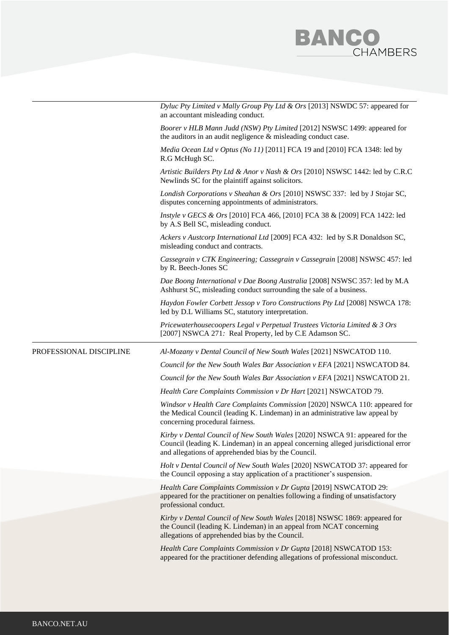## **BANCO**<br>CHAMBERS

|                         | Dyluc Pty Limited v Mally Group Pty Ltd & Ors [2013] NSWDC 57: appeared for<br>an accountant misleading conduct.                                                                                                         |  |  |
|-------------------------|--------------------------------------------------------------------------------------------------------------------------------------------------------------------------------------------------------------------------|--|--|
|                         | Boorer v HLB Mann Judd (NSW) Pty Limited [2012] NSWSC 1499: appeared for<br>the auditors in an audit negligence & misleading conduct case.                                                                               |  |  |
|                         | Media Ocean Ltd v Optus (No 11) [2011] FCA 19 and [2010] FCA 1348: led by<br>R.G McHugh SC.                                                                                                                              |  |  |
|                         | Artistic Builders Pty Ltd & Anor v Nash & Ors [2010] NSWSC 1442: led by C.R.C<br>Newlinds SC for the plaintiff against solicitors.                                                                                       |  |  |
|                         | Londish Corporations v Sheahan & Ors [2010] NSWSC 337: led by J Stojar SC,<br>disputes concerning appointments of administrators.                                                                                        |  |  |
|                         | Instyle v GECS & Ors [2010] FCA 466, [2010] FCA 38 & [2009] FCA 1422: led<br>by A.S Bell SC, misleading conduct.                                                                                                         |  |  |
|                         | Ackers v Austcorp International Ltd [2009] FCA 432: led by S.R Donaldson SC,<br>misleading conduct and contracts.                                                                                                        |  |  |
|                         | Cassegrain v CTK Engineering; Cassegrain v Cassegrain [2008] NSWSC 457: led<br>by R. Beech-Jones SC                                                                                                                      |  |  |
|                         | Dae Boong International v Dae Boong Australia [2008] NSWSC 357: led by M.A<br>Ashhurst SC, misleading conduct surrounding the sale of a business.                                                                        |  |  |
|                         | Haydon Fowler Corbett Jessop v Toro Constructions Pty Ltd [2008] NSWCA 178:<br>led by D.L Williams SC, statutory interpretation.                                                                                         |  |  |
|                         | Pricewaterhousecoopers Legal v Perpetual Trustees Victoria Limited & 3 Ors<br>[2007] NSWCA 271: Real Property, led by C.E Adamson SC.                                                                                    |  |  |
| PROFESSIONAL DISCIPLINE | Al-Mozany v Dental Council of New South Wales [2021] NSWCATOD 110.                                                                                                                                                       |  |  |
|                         | Council for the New South Wales Bar Association v EFA [2021] NSWCATOD 84.                                                                                                                                                |  |  |
|                         | Council for the New South Wales Bar Association v EFA [2021] NSWCATOD 21.                                                                                                                                                |  |  |
|                         | Health Care Complaints Commission v Dr Hart [2021] NSWCATOD 79.                                                                                                                                                          |  |  |
|                         | Windsor v Health Care Complaints Commission [2020] NSWCA 110: appeared for<br>the Medical Council (leading K. Lindeman) in an administrative law appeal by<br>concerning procedural fairness.                            |  |  |
|                         | Kirby v Dental Council of New South Wales [2020] NSWCA 91: appeared for the<br>Council (leading K. Lindeman) in an appeal concerning alleged jurisdictional error<br>and allegations of apprehended bias by the Council. |  |  |
|                         | Holt v Dental Council of New South Wales [2020] NSWCATOD 37: appeared for<br>the Council opposing a stay application of a practitioner's suspension.                                                                     |  |  |
|                         | Health Care Complaints Commission v Dr Gupta [2019] NSWCATOD 29:<br>appeared for the practitioner on penalties following a finding of unsatisfactory<br>professional conduct.                                            |  |  |
|                         | Kirby v Dental Council of New South Wales [2018] NSWSC 1869: appeared for<br>the Council (leading K. Lindeman) in an appeal from NCAT concerning<br>allegations of apprehended bias by the Council.                      |  |  |
|                         | Health Care Complaints Commission v Dr Gupta [2018] NSWCATOD 153:<br>appeared for the practitioner defending allegations of professional misconduct.                                                                     |  |  |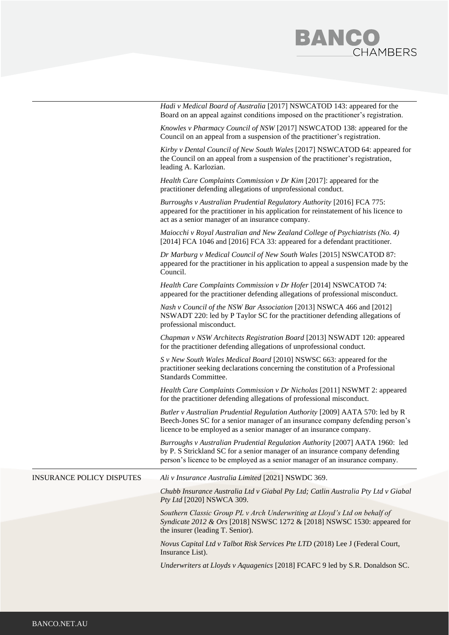

|                                  | Hadi v Medical Board of Australia [2017] NSWCATOD 143: appeared for the<br>Board on an appeal against conditions imposed on the practitioner's registration.                                                                                 |
|----------------------------------|----------------------------------------------------------------------------------------------------------------------------------------------------------------------------------------------------------------------------------------------|
|                                  | Knowles v Pharmacy Council of NSW [2017] NSWCATOD 138: appeared for the<br>Council on an appeal from a suspension of the practitioner's registration.                                                                                        |
|                                  | Kirby v Dental Council of New South Wales [2017] NSWCATOD 64: appeared for<br>the Council on an appeal from a suspension of the practitioner's registration,<br>leading A. Karlozian.                                                        |
|                                  | Health Care Complaints Commission v Dr Kim [2017]: appeared for the<br>practitioner defending allegations of unprofessional conduct.                                                                                                         |
|                                  | Burroughs v Australian Prudential Regulatory Authority [2016] FCA 775:<br>appeared for the practitioner in his application for reinstatement of his licence to<br>act as a senior manager of an insurance company.                           |
|                                  | Maiocchi v Royal Australian and New Zealand College of Psychiatrists (No. 4)<br>[2014] FCA 1046 and [2016] FCA 33: appeared for a defendant practitioner.                                                                                    |
|                                  | Dr Marburg v Medical Council of New South Wales [2015] NSWCATOD 87:<br>appeared for the practitioner in his application to appeal a suspension made by the<br>Council.                                                                       |
|                                  | Health Care Complaints Commission v Dr Hofer [2014] NSWCATOD 74:<br>appeared for the practitioner defending allegations of professional misconduct.                                                                                          |
|                                  | Nash v Council of the NSW Bar Association [2013] NSWCA 466 and [2012]<br>NSWADT 220: led by P Taylor SC for the practitioner defending allegations of<br>professional misconduct.                                                            |
|                                  | Chapman v NSW Architects Registration Board [2013] NSWADT 120: appeared<br>for the practitioner defending allegations of unprofessional conduct.                                                                                             |
|                                  | S v New South Wales Medical Board [2010] NSWSC 663: appeared for the<br>practitioner seeking declarations concerning the constitution of a Professional<br>Standards Committee.                                                              |
|                                  | Health Care Complaints Commission v Dr Nicholas [2011] NSWMT 2: appeared<br>for the practitioner defending allegations of professional misconduct.                                                                                           |
|                                  | Butler v Australian Prudential Regulation Authority [2009] AATA 570: led by R<br>Beech-Jones SC for a senior manager of an insurance company defending person's<br>licence to be employed as a senior manager of an insurance company.       |
|                                  | Burroughs v Australian Prudential Regulation Authority [2007] AATA 1960: led<br>by P. S Strickland SC for a senior manager of an insurance company defending<br>person's licence to be employed as a senior manager of an insurance company. |
| <b>INSURANCE POLICY DISPUTES</b> | Ali v Insurance Australia Limited [2021] NSWDC 369.                                                                                                                                                                                          |
|                                  | Chubb Insurance Australia Ltd v Giabal Pty Ltd; Catlin Australia Pty Ltd v Giabal<br>Pty Ltd [2020] NSWCA 309.                                                                                                                               |
|                                  | Southern Classic Group PL v Arch Underwriting at Lloyd's Ltd on behalf of<br>Syndicate 2012 & Ors [2018] NSWSC 1272 & [2018] NSWSC 1530: appeared for<br>the insurer (leading T. Senior).                                                    |
|                                  | Novus Capital Ltd v Talbot Risk Services Pte LTD (2018) Lee J (Federal Court,<br>Insurance List).                                                                                                                                            |
|                                  | Underwriters at Lloyds v Aquagenics [2018] FCAFC 9 led by S.R. Donaldson SC.                                                                                                                                                                 |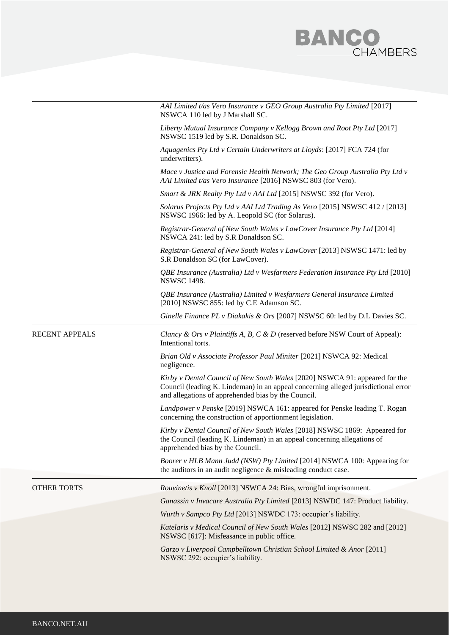

|                    | AAI Limited t/as Vero Insurance v GEO Group Australia Pty Limited [2017]<br>NSWCA 110 led by J Marshall SC.                                                                                                              |
|--------------------|--------------------------------------------------------------------------------------------------------------------------------------------------------------------------------------------------------------------------|
|                    | Liberty Mutual Insurance Company v Kellogg Brown and Root Pty Ltd [2017]<br>NSWSC 1519 led by S.R. Donaldson SC.                                                                                                         |
|                    | Aquagenics Pty Ltd v Certain Underwriters at Lloyds: [2017] FCA 724 (for<br>underwriters).                                                                                                                               |
|                    | Mace v Justice and Forensic Health Network; The Geo Group Australia Pty Ltd v<br>AAI Limited t/as Vero Insurance [2016] NSWSC 803 (for Vero).                                                                            |
|                    | Smart & JRK Realty Pty Ltd v AAI Ltd [2015] NSWSC 392 (for Vero).                                                                                                                                                        |
|                    | Solarus Projects Pty Ltd v AAI Ltd Trading As Vero [2015] NSWSC 412 / [2013]<br>NSWSC 1966: led by A. Leopold SC (for Solarus).                                                                                          |
|                    | Registrar-General of New South Wales v LawCover Insurance Pty Ltd [2014]<br>NSWCA 241: led by S.R Donaldson SC.                                                                                                          |
|                    | Registrar-General of New South Wales v LawCover [2013] NSWSC 1471: led by<br>S.R Donaldson SC (for LawCover).                                                                                                            |
|                    | QBE Insurance (Australia) Ltd v Wesfarmers Federation Insurance Pty Ltd [2010]<br><b>NSWSC 1498.</b>                                                                                                                     |
|                    | QBE Insurance (Australia) Limited v Wesfarmers General Insurance Limited<br>[2010] NSWSC 855: led by C.E Adamson SC.                                                                                                     |
|                    | Ginelle Finance PL v Diakakis & Ors [2007] NSWSC 60: led by D.L Davies SC.                                                                                                                                               |
| RECENT APPEALS     | Clancy & Ors v Plaintiffs A, B, C & D (reserved before NSW Court of Appeal):<br>Intentional torts.                                                                                                                       |
|                    | Brian Old v Associate Professor Paul Miniter [2021] NSWCA 92: Medical<br>negligence.                                                                                                                                     |
|                    | Kirby v Dental Council of New South Wales [2020] NSWCA 91: appeared for the<br>Council (leading K. Lindeman) in an appeal concerning alleged jurisdictional error<br>and allegations of apprehended bias by the Council. |
|                    | Landpower v Penske [2019] NSWCA 161: appeared for Penske leading T. Rogan<br>concerning the construction of apportionment legislation.                                                                                   |
|                    | Kirby v Dental Council of New South Wales [2018] NSWSC 1869: Appeared for<br>the Council (leading K. Lindeman) in an appeal concerning allegations of<br>apprehended bias by the Council.                                |
|                    | Boorer v HLB Mann Judd (NSW) Pty Limited [2014] NSWCA 100: Appearing for<br>the auditors in an audit negligence & misleading conduct case.                                                                               |
| <b>OTHER TORTS</b> | Rouvinetis v Knoll [2013] NSWCA 24: Bias, wrongful imprisonment.                                                                                                                                                         |
|                    | Ganassin v Invacare Australia Pty Limited [2013] NSWDC 147: Product liability.                                                                                                                                           |
|                    | Wurth v Sampco Pty Ltd [2013] NSWDC 173: occupier's liability.                                                                                                                                                           |
|                    | Katelaris v Medical Council of New South Wales [2012] NSWSC 282 and [2012]<br>NSWSC [617]: Misfeasance in public office.                                                                                                 |
|                    | Garzo v Liverpool Campbelltown Christian School Limited & Anor [2011]<br>NSWSC 292: occupier's liability.                                                                                                                |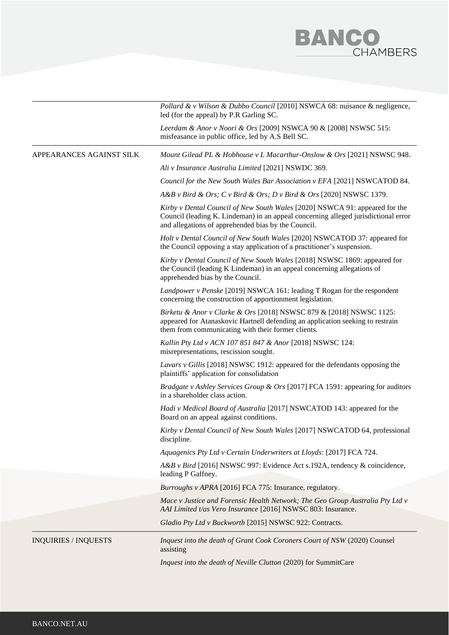## **BANCO**<br>CHAMBERS

|                             | Pollard & v Wilson & Dubbo Council [2010] NSWCA 68: nuisance & negligence,<br>led (for the appeal) by P.R Garling SC.                                                                                                    |
|-----------------------------|--------------------------------------------------------------------------------------------------------------------------------------------------------------------------------------------------------------------------|
|                             | Leerdam & Anor v Noori & Ors [2009] NSWCA 90 & [2008] NSWSC 515:<br>misfeasance in public office, led by A.S Bell SC.                                                                                                    |
| APPEARANCES AGAINST SILK    | Mount Gilead PL & Hobhouse v L Macarthur-Onslow & Ors [2021] NSWSC 948.                                                                                                                                                  |
|                             | Ali v Insurance Australia Limited [2021] NSWDC 369.                                                                                                                                                                      |
|                             | Council for the New South Wales Bar Association v EFA [2021] NSWCATOD 84.                                                                                                                                                |
|                             | $A\&B$ v Bird & Ors; C v Bird & Ors; D v Bird & Ors [2020] NSWSC 1379.                                                                                                                                                   |
|                             | Kirby v Dental Council of New South Wales [2020] NSWCA 91: appeared for the<br>Council (leading K. Lindeman) in an appeal concerning alleged jurisdictional error<br>and allegations of apprehended bias by the Council. |
|                             | Holt v Dental Council of New South Wales [2020] NSWCATOD 37: appeared for<br>the Council opposing a stay application of a practitioner's suspension.                                                                     |
|                             | Kirby v Dental Council of New South Wales [2018] NSWSC 1869: appeared for<br>the Council (leading K Lindeman) in an appeal concerning allegations of<br>apprehended bias by the Council.                                 |
|                             | Landpower v Penske [2019] NSWCA 161: leading T Rogan for the respondent<br>concerning the construction of apportionment legislation.                                                                                     |
|                             | Birketu & Anor v Clarke & Ors [2018] NSWSC 879 & [2018] NSWSC 1125:<br>appeared for Atanaskovic Hartnell defending an application seeking to restrain<br>them from communicating with their former clients.              |
|                             | Kallin Pty Ltd v ACN 107 851 847 & Anor [2018] NSWSC 124:<br>misrepresentations, rescission sought.                                                                                                                      |
|                             | Lavars v Gillis [2018] NSWSC 1912: appeared for the defendants opposing the<br>plaintiffs' application for consolidation                                                                                                 |
|                             | Bradgate v Ashley Services Group & Ors [2017] FCA 1591: appearing for auditors<br>in a shareholder class action.                                                                                                         |
|                             | Hadi v Medical Board of Australia [2017] NSWCATOD 143: appeared for the<br>Board on an appeal against conditions.                                                                                                        |
|                             | Kirby v Dental Council of New South Wales [2017] NSWCATOD 64, professional<br>discipline.                                                                                                                                |
|                             | Aquagenics Pty Ltd v Certain Underwriters at Lloyds: [2017] FCA 724.                                                                                                                                                     |
|                             | A&B v Bird [2016] NSWSC 997: Evidence Act s.192A, tendency & coincidence,<br>leading P Gaffney.                                                                                                                          |
|                             | Burroughs v APRA [2016] FCA 775: Insurance, regulatory.                                                                                                                                                                  |
|                             | Mace v Justice and Forensic Health Network; The Geo Group Australia Pty Ltd v<br>AAI Limited t/as Vero Insurance [2016] NSWSC 803: Insurance.                                                                            |
|                             | Gladio Pty Ltd v Buckworth [2015] NSWSC 922: Contracts.                                                                                                                                                                  |
| <b>INQUIRIES / INQUESTS</b> | Inquest into the death of Grant Cook Coroners Court of NSW (2020) Counsel<br>assisting                                                                                                                                   |
|                             | Inquest into the death of Neville Clutton (2020) for SummitCare                                                                                                                                                          |